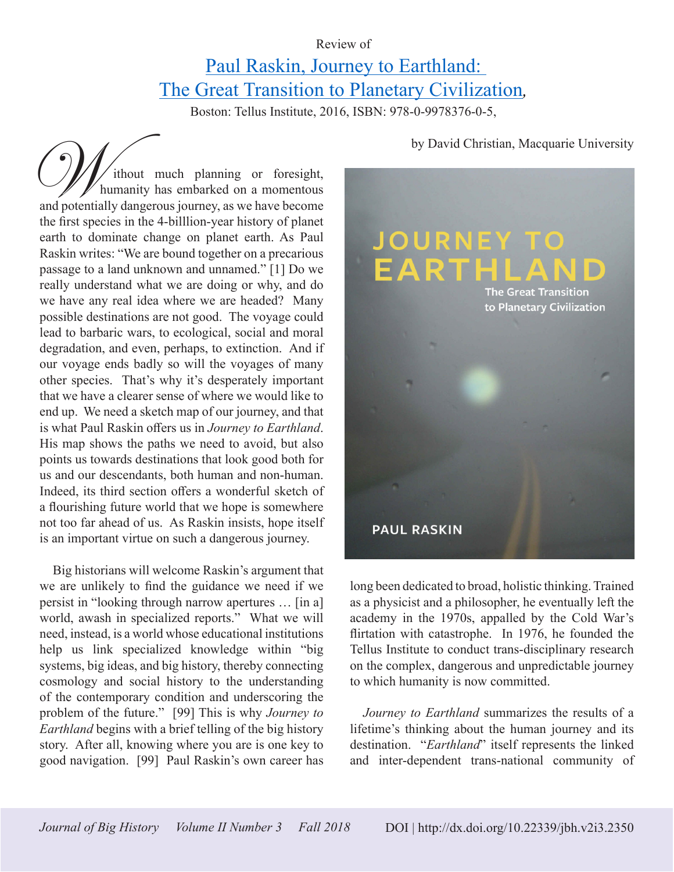## Review of

## Paul Raskin, Journey to Earthland: The Great Transition to Planetary Civilization*,*

Boston: Tellus Institute, 2016, ISBN: 978-0-9978376-0-5,

ithout much planning or foresight, humanity has embarked on a momentous and potentially dangerous journey, as we have become the first species in the 4-billlion-year history of planet earth to dominate change on planet earth. As Paul Raskin writes: "We are bound together on a precarious passage to a land unknown and unnamed." [1] Do we really understand what we are doing or why, and do we have any real idea where we are headed? Many possible destinations are not good. The voyage could lead to barbaric wars, to ecological, social and moral degradation, and even, perhaps, to extinction. And if our voyage ends badly so will the voyages of many other species. That's why it's desperately important that we have a clearer sense of where we would like to end up. We need a sketch map of our journey, and that is what Paul Raskin offers us in *Journey to Earthland*. His map shows the paths we need to avoid, but also points us towards destinations that look good both for us and our descendants, both human and non-human. Indeed, its third section offers a wonderful sketch of a flourishing future world that we hope is somewhere not too far ahead of us. As Raskin insists, hope itself is an important virtue on such a dangerous journey. by David Christian, Macquarie University<br>
humanity has embarked on a momentous<br>
and potentially dangerous journey, as we have become

Big historians will welcome Raskin's argument that we are unlikely to find the guidance we need if we persist in "looking through narrow apertures … [in a] world, awash in specialized reports." What we will need, instead, is a world whose educational institutions help us link specialized knowledge within "big systems, big ideas, and big history, thereby connecting cosmology and social history to the understanding of the contemporary condition and underscoring the problem of the future." [99] This is why *Journey to Earthland* begins with a brief telling of the big history story. After all, knowing where you are is one key to good navigation. [99] Paul Raskin's own career has



long been dedicated to broad, holistic thinking. Trained as a physicist and a philosopher, he eventually left the academy in the 1970s, appalled by the Cold War's flirtation with catastrophe. In 1976, he founded the Tellus Institute to conduct trans-disciplinary research on the complex, dangerous and unpredictable journey to which humanity is now committed.

*Journey to Earthland* summarizes the results of a lifetime's thinking about the human journey and its destination. "*Earthland*" itself represents the linked and inter-dependent trans-national community of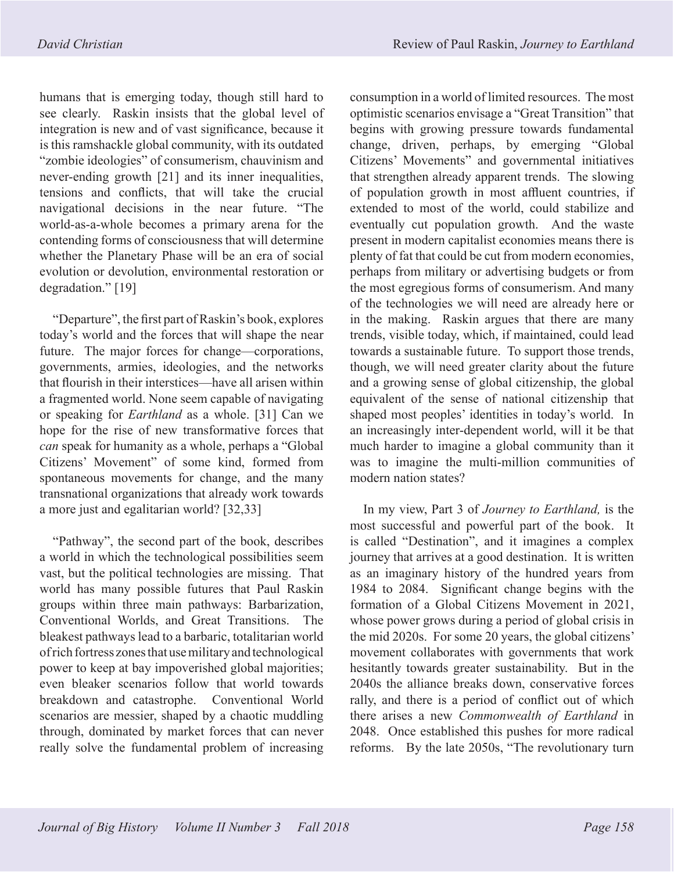humans that is emerging today, though still hard to see clearly. Raskin insists that the global level of integration is new and of vast significance, because it is this ramshackle global community, with its outdated "zombie ideologies" of consumerism, chauvinism and never-ending growth [21] and its inner inequalities, tensions and conflicts, that will take the crucial navigational decisions in the near future. "The world-as-a-whole becomes a primary arena for the contending forms of consciousness that will determine whether the Planetary Phase will be an era of social evolution or devolution, environmental restoration or degradation." [19]

"Departure", the first part of Raskin's book, explores today's world and the forces that will shape the near future. The major forces for change—corporations, governments, armies, ideologies, and the networks that flourish in their interstices—have all arisen within a fragmented world. None seem capable of navigating or speaking for *Earthland* as a whole. [31] Can we hope for the rise of new transformative forces that *can* speak for humanity as a whole, perhaps a "Global Citizens' Movement" of some kind, formed from spontaneous movements for change, and the many transnational organizations that already work towards a more just and egalitarian world? [32,33]

"Pathway", the second part of the book, describes a world in which the technological possibilities seem vast, but the political technologies are missing. That world has many possible futures that Paul Raskin groups within three main pathways: Barbarization, Conventional Worlds, and Great Transitions. The bleakest pathways lead to a barbaric, totalitarian world of rich fortress zones that use military and technological power to keep at bay impoverished global majorities; even bleaker scenarios follow that world towards breakdown and catastrophe. Conventional World scenarios are messier, shaped by a chaotic muddling through, dominated by market forces that can never really solve the fundamental problem of increasing consumption in a world of limited resources. The most optimistic scenarios envisage a "Great Transition" that begins with growing pressure towards fundamental change, driven, perhaps, by emerging "Global Citizens' Movements" and governmental initiatives that strengthen already apparent trends. The slowing of population growth in most affluent countries, if extended to most of the world, could stabilize and eventually cut population growth. And the waste present in modern capitalist economies means there is plenty of fat that could be cut from modern economies, perhaps from military or advertising budgets or from the most egregious forms of consumerism. And many of the technologies we will need are already here or in the making. Raskin argues that there are many trends, visible today, which, if maintained, could lead towards a sustainable future. To support those trends, though, we will need greater clarity about the future and a growing sense of global citizenship, the global equivalent of the sense of national citizenship that shaped most peoples' identities in today's world. In an increasingly inter-dependent world, will it be that much harder to imagine a global community than it was to imagine the multi-million communities of modern nation states?

In my view, Part 3 of *Journey to Earthland,* is the most successful and powerful part of the book. It is called "Destination", and it imagines a complex journey that arrives at a good destination. It is written as an imaginary history of the hundred years from 1984 to 2084. Significant change begins with the formation of a Global Citizens Movement in 2021, whose power grows during a period of global crisis in the mid 2020s. For some 20 years, the global citizens' movement collaborates with governments that work hesitantly towards greater sustainability. But in the 2040s the alliance breaks down, conservative forces rally, and there is a period of conflict out of which there arises a new *Commonwealth of Earthland* in 2048. Once established this pushes for more radical reforms. By the late 2050s, "The revolutionary turn